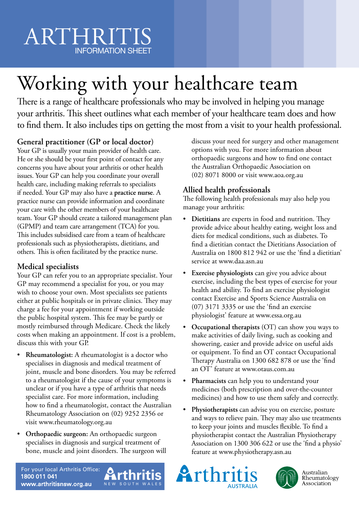# ARTHRITIS INFORMATION SHEET

# Working with your healthcare team

There is a range of healthcare professionals who may be involved in helping you manage your arthritis. This sheet outlines what each member of your healthcare team does and how to find them. It also includes tips on getting the most from a visit to your health professional.

# **General practitioner (GP or local doctor)**

Your GP is usually your main provider of health care. He or she should be your first point of contact for any concerns you have about your arthritis or other health issues. Your GP can help you coordinate your overall health care, including making referrals to specialists if needed. Your GP may also have a **practice nurse**. A practice nurse can provide information and coordinate your care with the other members of your healthcare team. Your GP should create a tailored management plan (GPMP) and team care arrangement (TCA) for you. This includes subsidised care from a team of healthcare professionals such as physiotherapists, dietitians, and others. This is often facilitated by the practice nurse.

## **Medical specialists**

Your GP can refer you to an appropriate specialist. Your GP may recommend a specialist for you, or you may wish to choose your own. Most specialists see patients either at public hospitals or in private clinics. They may charge a fee for your appointment if working outside the public hospital system. This fee may be partly or mostly reimbursed through Medicare. Check the likely costs when making an appointment. If cost is a problem, discuss this with your GP.

- **Rheumatologist:** A rheumatologist is a doctor who specialises in diagnosis and medical treatment of joint, muscle and bone disorders. You may be referred to a rheumatologist if the cause of your symptoms is unclear or if you have a type of arthritis that needs specialist care. For more information, including how to find a rheumatologist, contact the Australian Rheumatology Association on (02) 9252 2356 or visit www.rheumatology.org.au
- **Orthopaedic surgeon:** An orthopaedic surgeon specialises in diagnosis and surgical treatment of bone, muscle and joint disorders. The surgeon will

discuss your need for surgery and other management options with you. For more information about orthopaedic surgeons and how to find one contact the Australian Orthopaedic Association on (02) 8071 8000 or visit www.aoa.org.au

## **Allied health professionals**

The following health professionals may also help you manage your arthritis:

- **Dietitians** are experts in food and nutrition. They provide advice about healthy eating, weight loss and diets for medical conditions, such as diabetes. To find a dietitian contact the Dietitians Association of Australia on 1800 812 942 or use the 'find a dietitian' service at www.daa.asn.au
- **Exercise physiologists** can give you advice about exercise, including the best types of exercise for your health and ability. To find an exercise physiologist contact Exercise and Sports Science Australia on (07) 3171 3335 or use the 'find an exercise physiologist' feature at www.essa.org.au
- **Occupational therapists** (OT) can show you ways to make activities of daily living, such as cooking and showering, easier and provide advice on useful aids or equipment. To find an OT contact Occupational Therapy Australia on 1300 682 878 or use the 'find an OT' feature at www.otaus.com.au
- **Pharmacists** can help you to understand your medicines (both prescription and over-the-counter medicines) and how to use them safely and correctly.
- **Physiotherapists** can advise you on exercise, posture and ways to relieve pain. They may also use treatments to keep your joints and muscles flexible. To find a physiotherapist contact the Australian Physiotherapy Association on 1300 306 622 or use the 'find a physio' feature at www.physiotherapy.asn.au